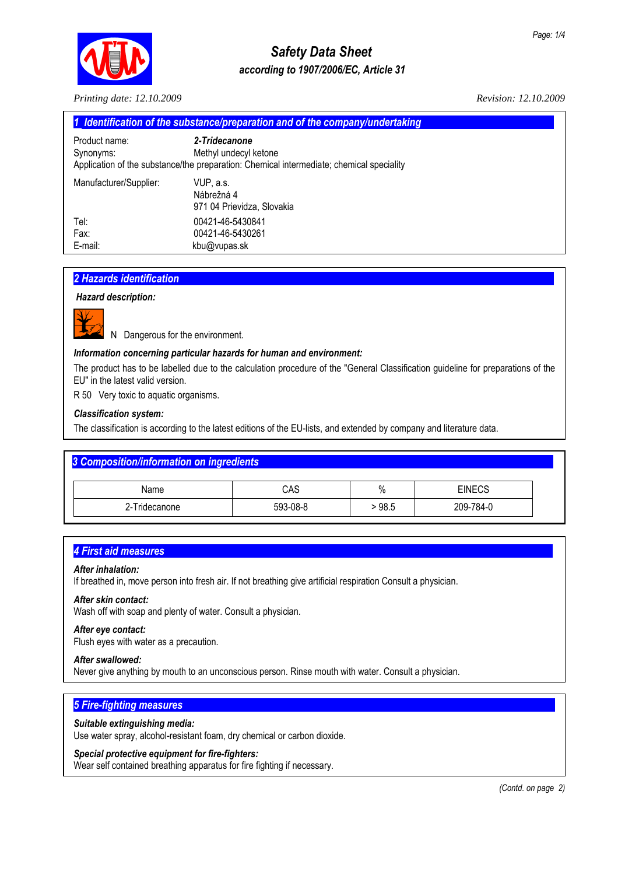

## *Safety Data Sheet according to 1907/2006/EC, Article 31*

*Printing date: 12.10.2009 Revision: 12.10.2009* 

| 1 Identification of the substance/preparation and of the company/undertaking |                                                                                                                                    |  |
|------------------------------------------------------------------------------|------------------------------------------------------------------------------------------------------------------------------------|--|
| Product name:<br>Synonyms:                                                   | 2-Tridecanone<br>Methyl undecyl ketone<br>Application of the substance/the preparation: Chemical intermediate; chemical speciality |  |
| Manufacturer/Supplier:                                                       | VUP. a.s.<br>Nábrežná 4<br>971 04 Prievidza, Slovakia                                                                              |  |
| Tel:<br>Fax:                                                                 | 00421-46-5430841<br>00421-46-5430261                                                                                               |  |
| E-mail:                                                                      | kbu@vupas.sk                                                                                                                       |  |

## *2 Hazards identification................................................................................................................................................*

## *Hazard description:*



N Dangerous for the environment.

## *Information concerning particular hazards for human and environment:*

The product has to be labelled due to the calculation procedure of the "General Classification guideline for preparations of the EU" in the latest valid version.

R 50 Very toxic to aquatic organisms.

## *Classification system:*

The classification is according to the latest editions of the EU-lists, and extended by company and literature data.

## **3 Composition/information on ingredients**

| Name          | CAS      | $\mathbf{0}$<br>70 | <b>EINECS</b> |
|---------------|----------|--------------------|---------------|
| 2-Tridecanone | 593-08-8 | 98.5               | 209-784-0     |

## **4 First aid measures**

#### *After inhalation:*

If breathed in, move person into fresh air. If not breathing give artificial respiration Consult a physician.

#### *After skin contact:*

Wash off with soap and plenty of water. Consult a physician.

#### *After eye contact:*

Flush eyes with water as a precaution.

#### *After swallowed:*

Never give anything by mouth to an unconscious person. Rinse mouth with water. Consult a physician.

## **5 Fire-fighting measures**

#### *Suitable extinguishing media:*

Use water spray, alcohol-resistant foam, dry chemical or carbon dioxide.

## *Special protective equipment for fire-fighters:*

Wear self contained breathing apparatus for fire fighting if necessary.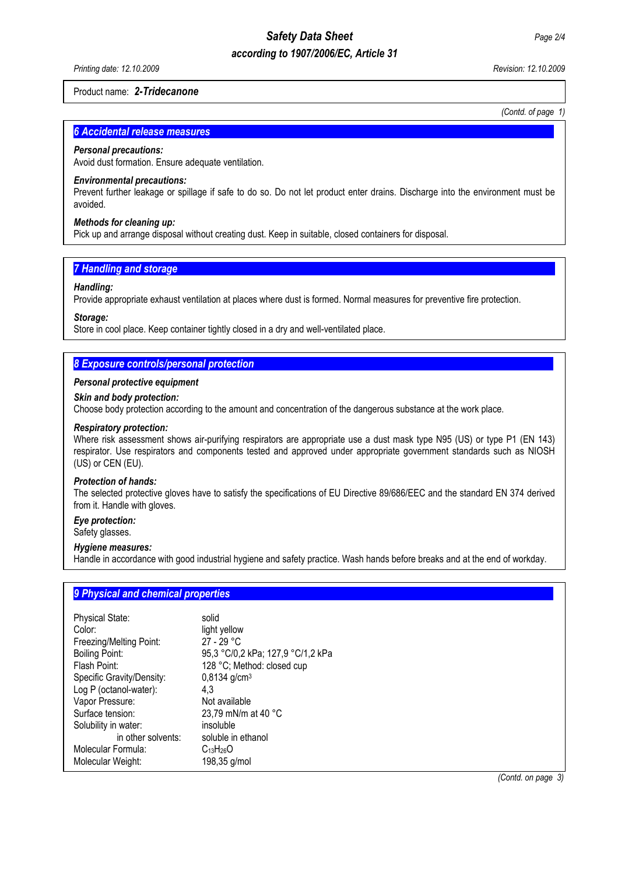## *Safety Data Sheet Page 2/4*

## *according to 1907/2006/EC, Article 31*

## Product name: *2-Tridecanone*

*(Contd. of page 1)* 

## **6 Accidental release measures**

## *Personal precautions:*

Avoid dust formation. Ensure adequate ventilation.

## *Environmental precautions:*

Prevent further leakage or spillage if safe to do so. Do not let product enter drains. Discharge into the environment must be avoided.

## *Methods for cleaning up:*

Pick up and arrange disposal without creating dust. Keep in suitable, closed containers for disposal.

## **7 Handling and storage**

## *Handling:*

Provide appropriate exhaust ventilation at places where dust is formed. Normal measures for preventive fire protection.

## *Storage:*

Store in cool place. Keep container tightly closed in a dry and well-ventilated place.

## **8 Exposure controls/personal protection**

## *Personal protective equipment*

*Skin and body protection:* 

Choose body protection according to the amount and concentration of the dangerous substance at the work place.

## *Respiratory protection:*

Where risk assessment shows air-purifying respirators are appropriate use a dust mask type N95 (US) or type P1 (EN 143) respirator. Use respirators and components tested and approved under appropriate government standards such as NIOSH (US) or CEN (EU).

## *Protection of hands:*

The selected protective gloves have to satisfy the specifications of EU Directive 89/686/EEC and the standard EN 374 derived from it. Handle with gloves.

## *Eye protection:*

Safety glasses.

## *Hygiene measures:*

Handle in accordance with good industrial hygiene and safety practice. Wash hands before breaks and at the end of workday.

## **9 Physical and chemical properties**

| solid                             |
|-----------------------------------|
| light yellow                      |
| 27 - 29 °C                        |
| 95,3 °C/0,2 kPa; 127,9 °C/1,2 kPa |
| 128 °C; Method: closed cup        |
| $0,8134$ g/cm <sup>3</sup>        |
| 4.3                               |
| Not available                     |
| 23,79 mN/m at 40 °C               |
| insoluble                         |
| soluble in ethanol                |
| $C_{13}H_{26}O$                   |
| 198,35 g/mol                      |
|                                   |

*(Contd. on page 3)*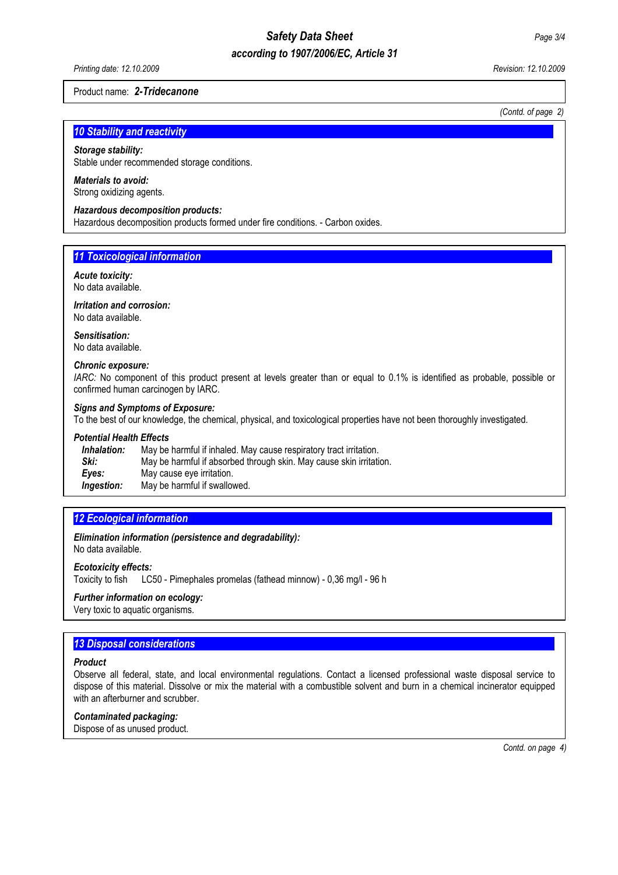# *Safety Data Sheet Page 3/4*

## *according to 1907/2006/EC, Article 31*

*Printing date: 12.10.2009 Revision: 12.10.2009* 

#### Product name: *2-Tridecanone*

 *(Contd. of page 2)*

## **10 Stability and reactivity**

#### *Storage stability:*

Stable under recommended storage conditions.

## *Materials to avoid:*

Strong oxidizing agents.

## *Hazardous decomposition products:*

Hazardous decomposition products formed under fire conditions. - Carbon oxides.

## **11 Toxicological information**

#### *Acute toxicity:* No data available.

*Irritation and corrosion:*  No data available.

*Sensitisation:*  No data available.

#### *Chronic exposure:*

*IARC:* No component of this product present at levels greater than or equal to 0.1% is identified as probable, possible or confirmed human carcinogen by IARC.

#### *Signs and Symptoms of Exposure:*

To the best of our knowledge, the chemical, physical, and toxicological properties have not been thoroughly investigated.

#### *Potential Health Effects*

| Inhalation:       | May be harmful if inhaled. May cause respiratory tract irritation.  |
|-------------------|---------------------------------------------------------------------|
| Ski:              | May be harmful if absorbed through skin. May cause skin irritation. |
| Eves:             | May cause eye irritation.                                           |
| <i>Ingestion:</i> | May be harmful if swallowed.                                        |

## *12 Ecological information............................................................................................................................................*

*Elimination information (persistence and degradability):* No data available.

#### *Ecotoxicity effects:*

Toxicity to fish LC50 - Pimephales promelas (fathead minnow) - 0,36 mg/l - 96 h

#### *Further information on ecology:*

Very toxic to aquatic organisms.

## **13 Disposal considerations...**

#### *Product*

Observe all federal, state, and local environmental regulations. Contact a licensed professional waste disposal service to dispose of this material. Dissolve or mix the material with a combustible solvent and burn in a chemical incinerator equipped with an afterburner and scrubber.

#### *Contaminated packaging:*

Dispose of as unused product.

*Contd. on page 4)*